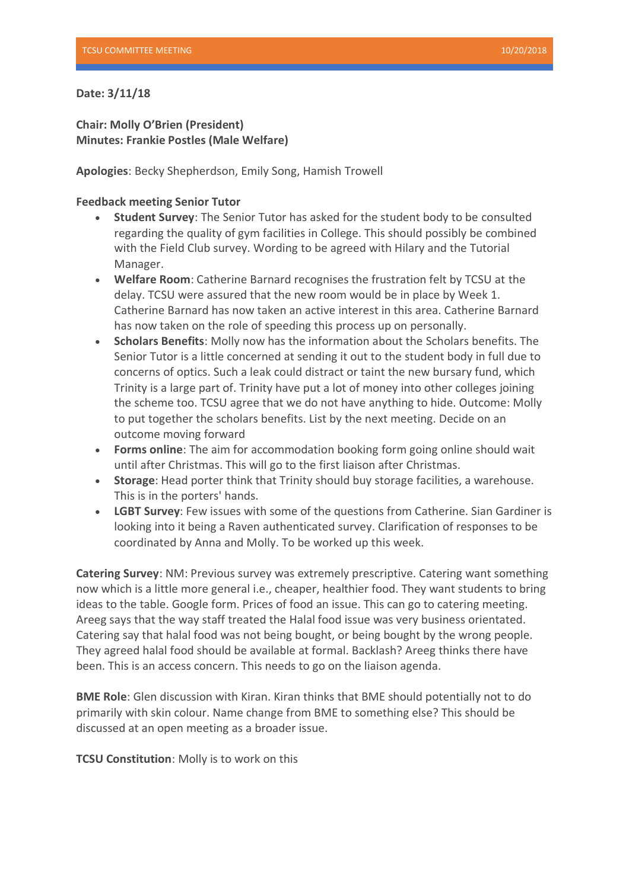## **Date: 3/11/18**

**Chair: Molly O'Brien (President) Minutes: Frankie Postles (Male Welfare)**

**Apologies**: Becky Shepherdson, Emily Song, Hamish Trowell

## **Feedback meeting Senior Tutor**

- **Student Survey**: The Senior Tutor has asked for the student body to be consulted regarding the quality of gym facilities in College. This should possibly be combined with the Field Club survey. Wording to be agreed with Hilary and the Tutorial Manager.
- **Welfare Room**: Catherine Barnard recognises the frustration felt by TCSU at the delay. TCSU were assured that the new room would be in place by Week 1. Catherine Barnard has now taken an active interest in this area. Catherine Barnard has now taken on the role of speeding this process up on personally.
- **Scholars Benefits**: Molly now has the information about the Scholars benefits. The Senior Tutor is a little concerned at sending it out to the student body in full due to concerns of optics. Such a leak could distract or taint the new bursary fund, which Trinity is a large part of. Trinity have put a lot of money into other colleges joining the scheme too. TCSU agree that we do not have anything to hide. Outcome: Molly to put together the scholars benefits. List by the next meeting. Decide on an outcome moving forward
- **Forms online**: The aim for accommodation booking form going online should wait until after Christmas. This will go to the first liaison after Christmas.
- **Storage**: Head porter think that Trinity should buy storage facilities, a warehouse. This is in the porters' hands.
- **LGBT Survey**: Few issues with some of the questions from Catherine. Sian Gardiner is looking into it being a Raven authenticated survey. Clarification of responses to be coordinated by Anna and Molly. To be worked up this week.

**Catering Survey**: NM: Previous survey was extremely prescriptive. Catering want something now which is a little more general i.e., cheaper, healthier food. They want students to bring ideas to the table. Google form. Prices of food an issue. This can go to catering meeting. Areeg says that the way staff treated the Halal food issue was very business orientated. Catering say that halal food was not being bought, or being bought by the wrong people. They agreed halal food should be available at formal. Backlash? Areeg thinks there have been. This is an access concern. This needs to go on the liaison agenda.

**BME Role**: Glen discussion with Kiran. Kiran thinks that BME should potentially not to do primarily with skin colour. Name change from BME to something else? This should be discussed at an open meeting as a broader issue.

**TCSU Constitution**: Molly is to work on this